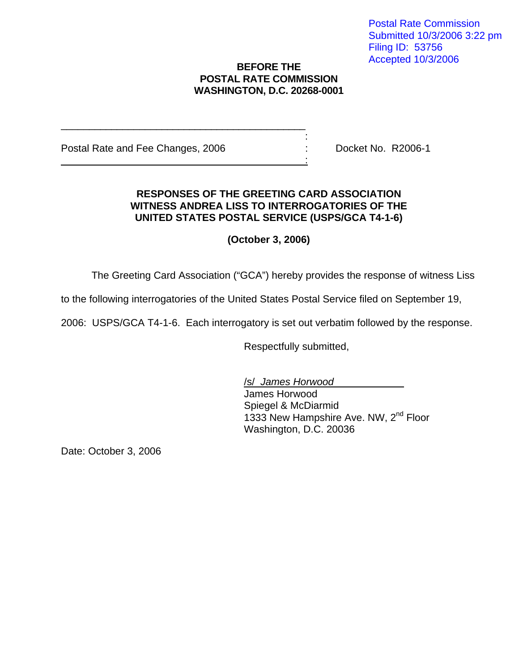## **BEFORE THE POSTAL RATE COMMISSION WASHINGTON, D.C. 20268-0001**

Postal Rate and Fee Changes, 2006 : Docket No. R2006-1

\_\_\_\_\_\_\_\_\_\_\_\_\_\_\_\_\_\_\_\_\_\_\_\_\_\_\_\_\_\_\_\_\_\_\_\_\_\_\_\_\_\_\_\_ and the state of the state of the state of the state of the state of the state of the

<u>: Andreas Andreas Andreas Andreas Andreas Andreas Andreas Andreas Andreas Andreas Andreas Andreas Andreas And</u>

## **RESPONSES OF THE GREETING CARD ASSOCIATION WITNESS ANDREA LISS TO INTERROGATORIES OF THE UNITED STATES POSTAL SERVICE (USPS/GCA T4-1-6)**

**(October 3, 2006)**

The Greeting Card Association ("GCA") hereby provides the response of witness Liss

to the following interrogatories of the United States Postal Service filed on September 19,

2006: USPS/GCA T4-1-6. Each interrogatory is set out verbatim followed by the response.

Respectfully submitted,

/s/ James Horwood James Horwood Spiegel & McDiarmid 1333 New Hampshire Ave. NW, 2<sup>nd</sup> Floor Washington, D.C. 20036

Date: October 3, 2006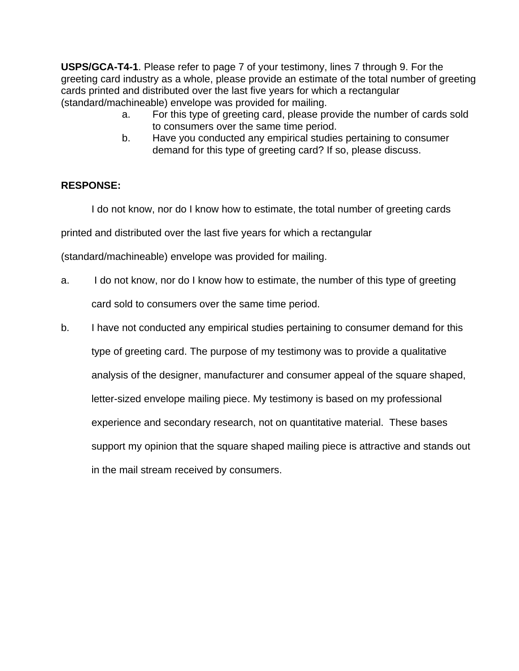**USPS/GCA-T4-1**. Please refer to page 7 of your testimony, lines 7 through 9. For the greeting card industry as a whole, please provide an estimate of the total number of greeting cards printed and distributed over the last five years for which a rectangular (standard/machineable) envelope was provided for mailing.

- a. For this type of greeting card, please provide the number of cards sold to consumers over the same time period.
- b. Have you conducted any empirical studies pertaining to consumer demand for this type of greeting card? If so, please discuss.

## **RESPONSE:**

I do not know, nor do I know how to estimate, the total number of greeting cards

printed and distributed over the last five years for which a rectangular

(standard/machineable) envelope was provided for mailing.

- a. I do not know, nor do I know how to estimate, the number of this type of greeting card sold to consumers over the same time period.
- b. I have not conducted any empirical studies pertaining to consumer demand for this type of greeting card. The purpose of my testimony was to provide a qualitative analysis of the designer, manufacturer and consumer appeal of the square shaped, letter-sized envelope mailing piece. My testimony is based on my professional experience and secondary research, not on quantitative material. These bases support my opinion that the square shaped mailing piece is attractive and stands out in the mail stream received by consumers.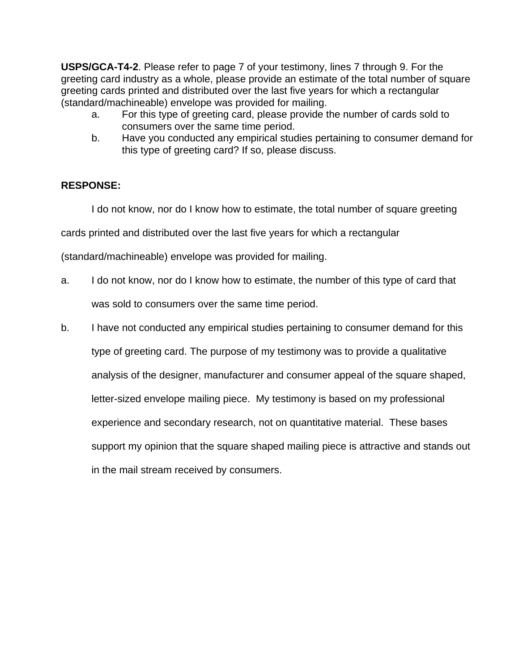**USPS/GCA-T4-2**. Please refer to page 7 of your testimony, lines 7 through 9. For the greeting card industry as a whole, please provide an estimate of the total number of square greeting cards printed and distributed over the last five years for which a rectangular (standard/machineable) envelope was provided for mailing.

- a. For this type of greeting card, please provide the number of cards sold to consumers over the same time period.
- b. Have you conducted any empirical studies pertaining to consumer demand for this type of greeting card? If so, please discuss.

## **RESPONSE:**

I do not know, nor do I know how to estimate, the total number of square greeting cards printed and distributed over the last five years for which a rectangular

(standard/machineable) envelope was provided for mailing.

- a. I do not know, nor do I know how to estimate, the number of this type of card that was sold to consumers over the same time period.
- b. I have not conducted any empirical studies pertaining to consumer demand for this type of greeting card. The purpose of my testimony was to provide a qualitative analysis of the designer, manufacturer and consumer appeal of the square shaped, letter-sized envelope mailing piece. My testimony is based on my professional experience and secondary research, not on quantitative material. These bases support my opinion that the square shaped mailing piece is attractive and stands out in the mail stream received by consumers.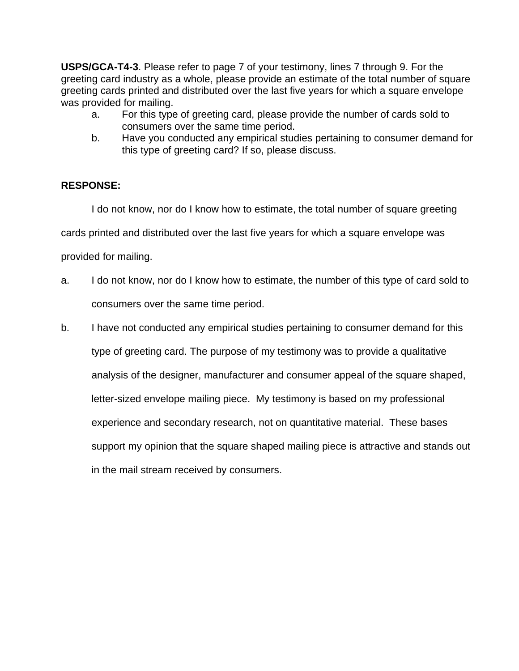**USPS/GCA-T4-3**. Please refer to page 7 of your testimony, lines 7 through 9. For the greeting card industry as a whole, please provide an estimate of the total number of square greeting cards printed and distributed over the last five years for which a square envelope was provided for mailing.

- a. For this type of greeting card, please provide the number of cards sold to consumers over the same time period.
- b. Have you conducted any empirical studies pertaining to consumer demand for this type of greeting card? If so, please discuss.

## **RESPONSE:**

I do not know, nor do I know how to estimate, the total number of square greeting cards printed and distributed over the last five years for which a square envelope was provided for mailing.

- a. I do not know, nor do I know how to estimate, the number of this type of card sold to consumers over the same time period.
- b. I have not conducted any empirical studies pertaining to consumer demand for this type of greeting card. The purpose of my testimony was to provide a qualitative analysis of the designer, manufacturer and consumer appeal of the square shaped, letter-sized envelope mailing piece. My testimony is based on my professional experience and secondary research, not on quantitative material. These bases support my opinion that the square shaped mailing piece is attractive and stands out in the mail stream received by consumers.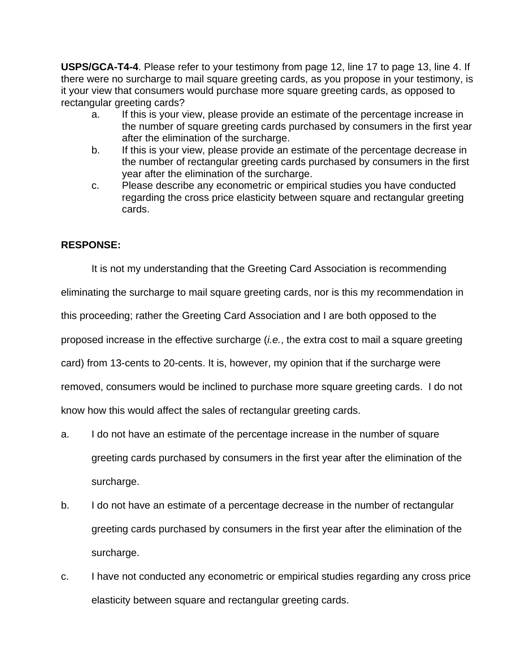**USPS/GCA-T4-4**. Please refer to your testimony from page 12, line 17 to page 13, line 4. If there were no surcharge to mail square greeting cards, as you propose in your testimony, is it your view that consumers would purchase more square greeting cards, as opposed to rectangular greeting cards?

- a. If this is your view, please provide an estimate of the percentage increase in the number of square greeting cards purchased by consumers in the first year after the elimination of the surcharge.
- b. If this is your view, please provide an estimate of the percentage decrease in the number of rectangular greeting cards purchased by consumers in the first year after the elimination of the surcharge.
- c. Please describe any econometric or empirical studies you have conducted regarding the cross price elasticity between square and rectangular greeting cards.

## **RESPONSE:**

It is not my understanding that the Greeting Card Association is recommending

eliminating the surcharge to mail square greeting cards, nor is this my recommendation in

this proceeding; rather the Greeting Card Association and I are both opposed to the

proposed increase in the effective surcharge (i.e., the extra cost to mail a square greeting

card) from 13-cents to 20-cents. It is, however, my opinion that if the surcharge were

removed, consumers would be inclined to purchase more square greeting cards. I do not

know how this would affect the sales of rectangular greeting cards.

- a. I do not have an estimate of the percentage increase in the number of square greeting cards purchased by consumers in the first year after the elimination of the surcharge.
- b. I do not have an estimate of a percentage decrease in the number of rectangular greeting cards purchased by consumers in the first year after the elimination of the surcharge.
- c. I have not conducted any econometric or empirical studies regarding any cross price elasticity between square and rectangular greeting cards.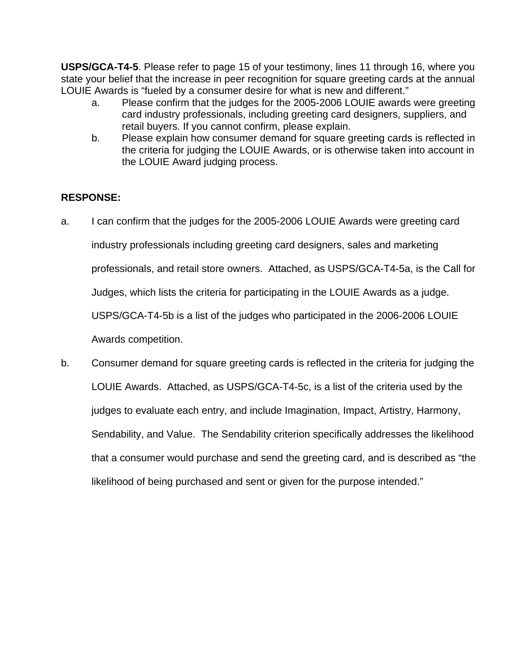**USPS/GCA-T4-5**. Please refer to page 15 of your testimony, lines 11 through 16, where you state your belief that the increase in peer recognition for square greeting cards at the annual LOUIE Awards is "fueled by a consumer desire for what is new and different."

- a. Please confirm that the judges for the 2005-2006 LOUIE awards were greeting card industry professionals, including greeting card designers, suppliers, and retail buyers. If you cannot confirm, please explain.
- b. Please explain how consumer demand for square greeting cards is reflected in the criteria for judging the LOUIE Awards, or is otherwise taken into account in the LOUIE Award judging process.

## **RESPONSE:**

- a. I can confirm that the judges for the 2005-2006 LOUIE Awards were greeting card industry professionals including greeting card designers, sales and marketing professionals, and retail store owners. Attached, as USPS/GCA-T4-5a, is the Call for Judges, which lists the criteria for participating in the LOUIE Awards as a judge. USPS/GCA-T4-5b is a list of the judges who participated in the 2006-2006 LOUIE Awards competition.
- b. Consumer demand for square greeting cards is reflected in the criteria for judging the LOUIE Awards. Attached, as USPS/GCA-T4-5c, is a list of the criteria used by the judges to evaluate each entry, and include Imagination, Impact, Artistry, Harmony, Sendability, and Value. The Sendability criterion specifically addresses the likelihood that a consumer would purchase and send the greeting card, and is described as "the likelihood of being purchased and sent or given for the purpose intended."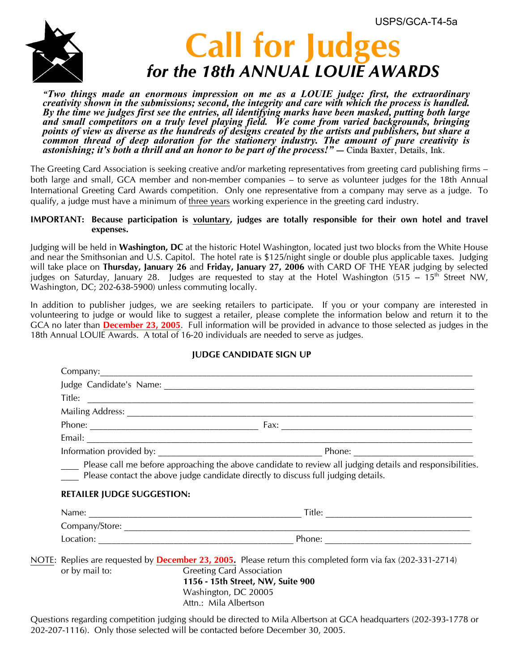

# **Call for Judges**  *for the 18th ANNUAL LOUIE AWARDS*

*"Two things made an enormous impression on me as a LOUIE judge: first, the extraordinary creativity shown in the submissions; second, the integrity and care with which the process is handled. By the time we judges first see the entries, all identifying marks have been masked, putting both large and small competitors on a truly level playing field. We come from varied backgrounds, bringing points of view as diverse as the hundreds of designs created by the artists and publishers, but share a common thread of deep adoration for the stationery industry. The amount of pure creativity is astonishing; it's both a thrill and an honor to be part of the process!" —* Cinda Baxter, Details, Ink.

The Greeting Card Association is seeking creative and/or marketing representatives from greeting card publishing firms – both large and small, GCA member and non-member companies – to serve as volunteer judges for the 18th Annual International Greeting Card Awards competition. Only one representative from a company may serve as a judge. To qualify, a judge must have a minimum of three years working experience in the greeting card industry.

#### **IMPORTANT: Because participation is voluntary, judges are totally responsible for their own hotel and travel expenses.**

Judging will be held in **Washington, DC** at the historic Hotel Washington, located just two blocks from the White House and near the Smithsonian and U.S. Capitol. The hotel rate is \$125/night single or double plus applicable taxes. Judging will take place on **Thursday, January 26** and **Friday, January 27, 2006** with CARD OF THE YEAR judging by selected judges on Saturday, January 28. Judges are requested to stay at the Hotel Washington (515 --  $15^{th}$  Street NW, Washington, DC; 202-638-5900) unless commuting locally.

In addition to publisher judges, we are seeking retailers to participate. If you or your company are interested in volunteering to judge or would like to suggest a retailer, please complete the information below and return it to the GCA no later than **December 23, 2005**. Full information will be provided in advance to those selected as judges in the 18th Annual LOUIE Awards. A total of 16-20 individuals are needed to serve as judges.

### **JUDGE CANDIDATE SIGN UP**

|                                   | Mailing Address: 1988 Mailing Address: 1988 Mailing Address: 1988 Mailing Address: 1988 Mailing Address: 1988 Mail 2008 Mail 2008 Mail 2008 Mail 2008 Mail 2008 Mail 2008 Mail 2008 Mail 2008 Mail 2008 Mail 2008 Mail 2008 Ma |
|-----------------------------------|--------------------------------------------------------------------------------------------------------------------------------------------------------------------------------------------------------------------------------|
|                                   |                                                                                                                                                                                                                                |
|                                   |                                                                                                                                                                                                                                |
|                                   |                                                                                                                                                                                                                                |
| <b>RETAILER JUDGE SUGGESTION:</b> | Please contact the above judge candidate directly to discuss full judging details.                                                                                                                                             |
|                                   |                                                                                                                                                                                                                                |
|                                   |                                                                                                                                                                                                                                |
|                                   |                                                                                                                                                                                                                                |
|                                   |                                                                                                                                                                                                                                |

Questions regarding competition judging should be directed to Mila Albertson at GCA headquarters (202-393-1778 or 202-207-1116). Only those selected will be contacted before December 30, 2005.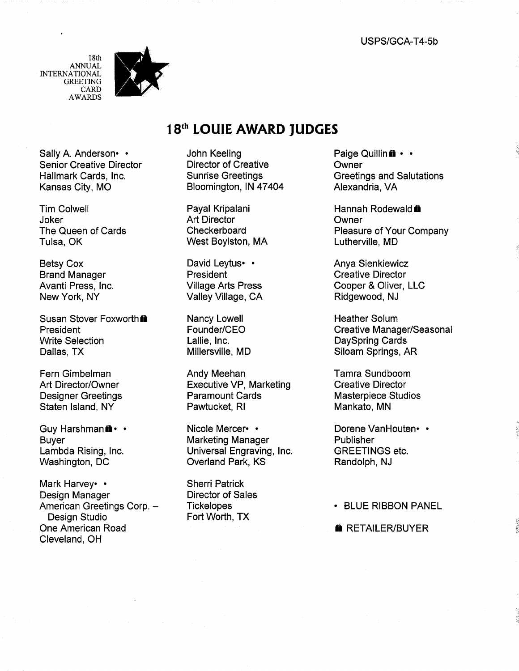18th **ANNUAL INTERNATIONAL GREETING** CARD **AWARDS** 



Sally A. Anderson .. **Senior Creative Director** Hallmark Cards, Inc. Kansas City, MO

**Tim Colwell** Joker The Queen of Cards Tulsa, OK

**Betsy Cox Brand Manager** Avanti Press, Inc. New York, NY

Susan Stover Foxworth<sup>®</sup> President **Write Selection** Dallas, TX

Fern Gimbelman Art Director/Owner **Designer Greetings** Staten Island, NY

Guy Harshmanii ·· **Buver** Lambda Rising, Inc. Washington, DC

Mark Harvey •• Design Manager American Greetings Corp. -Design Studio One American Road Cleveland, OH

## 18th LOUIE AWARD JUDGES

John Keeling **Director of Creative Sunrise Greetings** Bloomington, IN 47404

Payal Kripalani **Art Director** Checkerboard West Boylston, MA

David Leytus• • President **Village Arts Press** Valley Village, CA

**Nancy Lowell** Founder/CEO Lallie, Inc. Millersville, MD

Andy Meehan **Executive VP, Marketing Paramount Cards** Pawtucket, RI

Nicole Mercer• • **Marketing Manager** Universal Engraving, Inc. Overland Park, KS

**Sherri Patrick Director of Sales Tickelopes** Fort Worth, TX

Paige Quillin in . . Owner **Greetings and Salutations** Alexandria, VA

Hannah Rodewald **m** Owner **Pleasure of Your Company** Lutherville, MD

**Anya Sienkiewicz Creative Director** Cooper & Oliver, LLC Ridgewood, NJ

**Heather Solum Creative Manager/Seasonal DaySpring Cards** Siloam Springs, AR

Tamra Sundboom **Creative Director Masterpiece Studios** Mankato, MN

Dorene VanHouten• • Publisher **GREETINGS etc.** Randolph, NJ

• BLUE RIBBON PANEL

**A** RETAILER/BUYER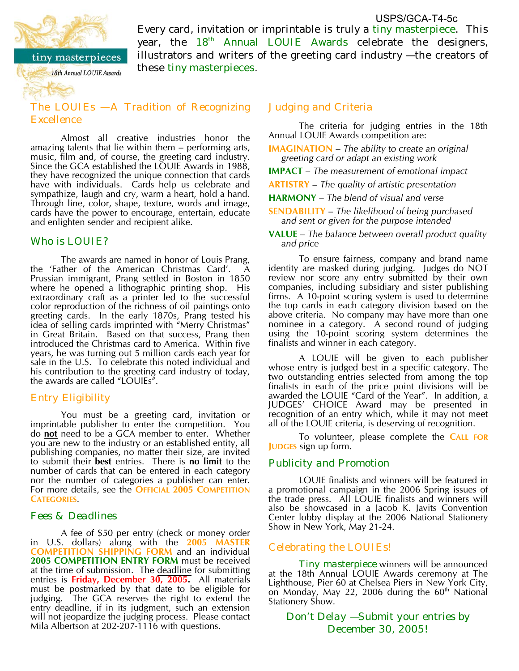

Every card, invitation or imprintable is truly a tiny masterpiece. This vear, the 18<sup>th</sup> Annual LOUIE Awards celebrate the designers, illustrators and writers of the greeting card industry - the creators of USPS/GCA-T4-5c

tiny masterpieces 18th Annual LOUIE Awards

# these tiny masterpieces.

these tiny masterpieces.

*The LOUIEs — A Tradition of Recognizing* 

Almost all creative industries honor the amazing talents that lie within them – performing arts, music, film and, of course, the greeting card industry. Since the GCA established the LOUIE Awards in 1988, they have recognized the unique connection that cards have with individuals. Cards help us celebrate and sympathize, laugh and cry, warm a heart, hold a hand. Through line, color, shape, texture, words and image, cards have the power to encourage, entertain, educate and enlighten sender and recipient alike.

## Who is LOUIE?

The awards are named in honor of Louis Prang, the 'Father of the American Christmas Card'. Prussian immigrant, Prang settled in Boston in 1850 where he opened a lithographic printing shop. His extraordinary craft as a printer led to the successful color reproduction of the richness of oil paintings onto greeting cards. In the early 1870s, Prang tested his idea of selling cards imprinted with "Merry Christmas" in Great Britain. Based on that success, Prang then introduced the Christmas card to America. Within five years, he was turning out 5 million cards each year for sale in the U.S. To celebrate this noted individual and his contribution to the greeting card industry of today, the awards are called "LOUIEs".

## *Entry Eligibility*

You must be a greeting card, invitation or imprintable publisher to enter the competition. You do **not** need to be a GCA member to enter. Whether you are new to the industry or an established entity, all publishing companies, no matter their size, are invited to submit their **best** entries. There is **no limit** to the number of cards that can be entered in each category nor the number of categories a publisher can enter. For more details, see the **OFFICIAL 2005 COMPETITION CATEGORIES**.

## *Fees & Deadlines*

A fee of \$50 per entry (check or money order in U.S. dollars) along with the **2005 MASTER COMPETITION SHIPPING FORM** and an individual **2005 COMPETITION ENTRY FORM** must be received at the time of submission. The deadline for submitting entries is **Friday, December 30, 2005.** All materials must be postmarked by that date to be eligible for judging. The GCA reserves the right to extend the entry deadline, if in its judgment, such an extension will not jeopardize the judging process. Please contact Mila Albertson at 202-207-1116 with questions.

## *Judging and Criteria*

The criteria for judging entries in the 18th Annual LOUIE Awards competition are:

**IMAGINATION** – *The ability to create an original greeting card or adapt an existing work*

**IMPACT** – *The measurement of emotional impact*

**ARTISTRY** – *The quality of artistic presentation*

**HARMONY** – *The blend of visual and verse*

**SENDABILITY** – *The likelihood of being purchased and sent or given for the purpose intended*

#### **VALUE** – *The balance between overall product quality and price*

To ensure fairness, company and brand name identity are masked during judging. Judges do NOT review nor score any entry submitted by their own companies, including subsidiary and sister publishing firms. A 10-point scoring system is used to determine the top cards in each category division based on the above criteria. No company may have more than one nominee in a category. A second round of judging using the 10-point scoring system determines the finalists and winner in each category.

A LOUIE will be given to each publisher whose entry is judged best in a specific category. The two outstanding entries selected from among the top finalists in each of the price point divisions will be awarded the LOUIE "Card of the Year". In addition, a JUDGES' CHOICE Award may be presented in recognition of an entry which, while it may not meet all of the LOUIE criteria, is deserving of recognition.

To volunteer, please complete the **CALL FOR JUDGES** sign up form.

### *Publicity and Promotion*

LOUIE finalists and winners will be featured in a promotional campaign in the 2006 Spring issues of the trade press. All LOUIE finalists and winners will also be showcased in a Jacob K. Javits Convention Center lobby display at the 2006 National Stationery Show in New York, May 21-24.

## *Celebrating the LOUIEs!*

**Tiny masterpiece** winners will be announced at the 18th Annual LOUIE Awards ceremony at The Lighthouse, Pier 60 at Chelsea Piers in New York City, on Monday, May 22, 2006 during the  $60<sup>th</sup>$  National Stationery Show.

*Don't Delay — Submit your entries by December 30, 2005!*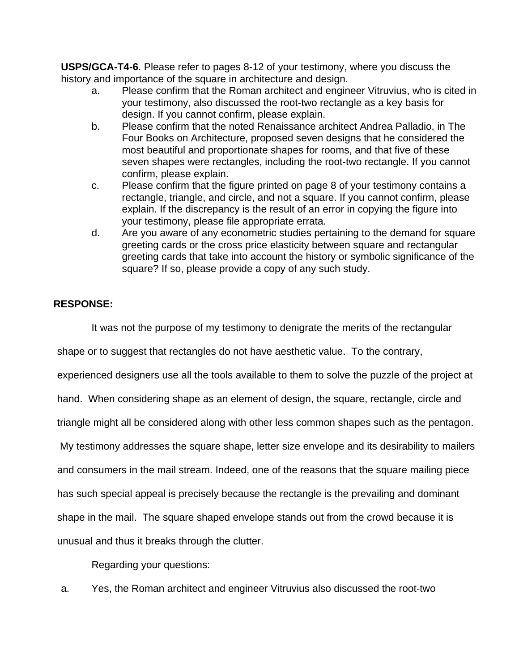**USPS/GCA-T4-6**. Please refer to pages 8-12 of your testimony, where you discuss the history and importance of the square in architecture and design.

- a. Please confirm that the Roman architect and engineer Vitruvius, who is cited in your testimony, also discussed the root-two rectangle as a key basis for design. If you cannot confirm, please explain.
- b. Please confirm that the noted Renaissance architect Andrea Palladio, in The Four Books on Architecture, proposed seven designs that he considered the most beautiful and proportionate shapes for rooms, and that five of these seven shapes were rectangles, including the root-two rectangle. If you cannot confirm, please explain.
- c. Please confirm that the figure printed on page 8 of your testimony contains a rectangle, triangle, and circle, and not a square. If you cannot confirm, please explain. If the discrepancy is the result of an error in copying the figure into your testimony, please file appropriate errata.
- d. Are you aware of any econometric studies pertaining to the demand for square greeting cards or the cross price elasticity between square and rectangular greeting cards that take into account the history or symbolic significance of the square? If so, please provide a copy of any such study.

## **RESPONSE:**

It was not the purpose of my testimony to denigrate the merits of the rectangular

shape or to suggest that rectangles do not have aesthetic value. To the contrary,

experienced designers use all the tools available to them to solve the puzzle of the project at

hand. When considering shape as an element of design, the square, rectangle, circle and

triangle might all be considered along with other less common shapes such as the pentagon.

My testimony addresses the square shape, letter size envelope and its desirability to mailers

and consumers in the mail stream. Indeed, one of the reasons that the square mailing piece

has such special appeal is precisely because the rectangle is the prevailing and dominant

shape in the mail. The square shaped envelope stands out from the crowd because it is

unusual and thus it breaks through the clutter.

Regarding your questions:

a. Yes, the Roman architect and engineer Vitruvius also discussed the root-two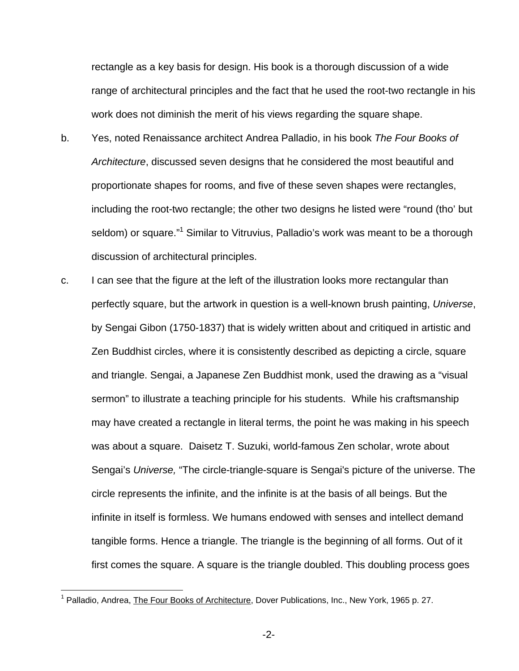rectangle as a key basis for design. His book is a thorough discussion of a wide range of architectural principles and the fact that he used the root-two rectangle in his work does not diminish the merit of his views regarding the square shape.

- b. Yes, noted Renaissance architect Andrea Palladio, in his book The Four Books of Architecture, discussed seven designs that he considered the most beautiful and proportionate shapes for rooms, and five of these seven shapes were rectangles, including the root-two rectangle; the other two designs he listed were "round (tho' but seldom) or square."<sup>1</sup> Similar to Vitruvius, Palladio's work was meant to be a thorough discussion of architectural principles.
- c. I can see that the figure at the left of the illustration looks more rectangular than perfectly square, but the artwork in question is a well-known brush painting, Universe, by Sengai Gibon (1750-1837) that is widely written about and critiqued in artistic and Zen Buddhist circles, where it is consistently described as depicting a circle, square and triangle. Sengai, a Japanese Zen Buddhist monk, used the drawing as a "visual sermon" to illustrate a teaching principle for his students. While his craftsmanship may have created a rectangle in literal terms, the point he was making in his speech was about a square. Daisetz T. Suzuki, world-famous Zen scholar, wrote about Sengai's Universe, "The circle-triangle-square is Sengai's picture of the universe. The circle represents the infinite, and the infinite is at the basis of all beings. But the infinite in itself is formless. We humans endowed with senses and intellect demand tangible forms. Hence a triangle. The triangle is the beginning of all forms. Out of it first comes the square. A square is the triangle doubled. This doubling process goes

<sup>&</sup>lt;sup>1</sup> Palladio, Andrea, The Four Books of Architecture, Dover Publications, Inc., New York, 1965 p. 27.